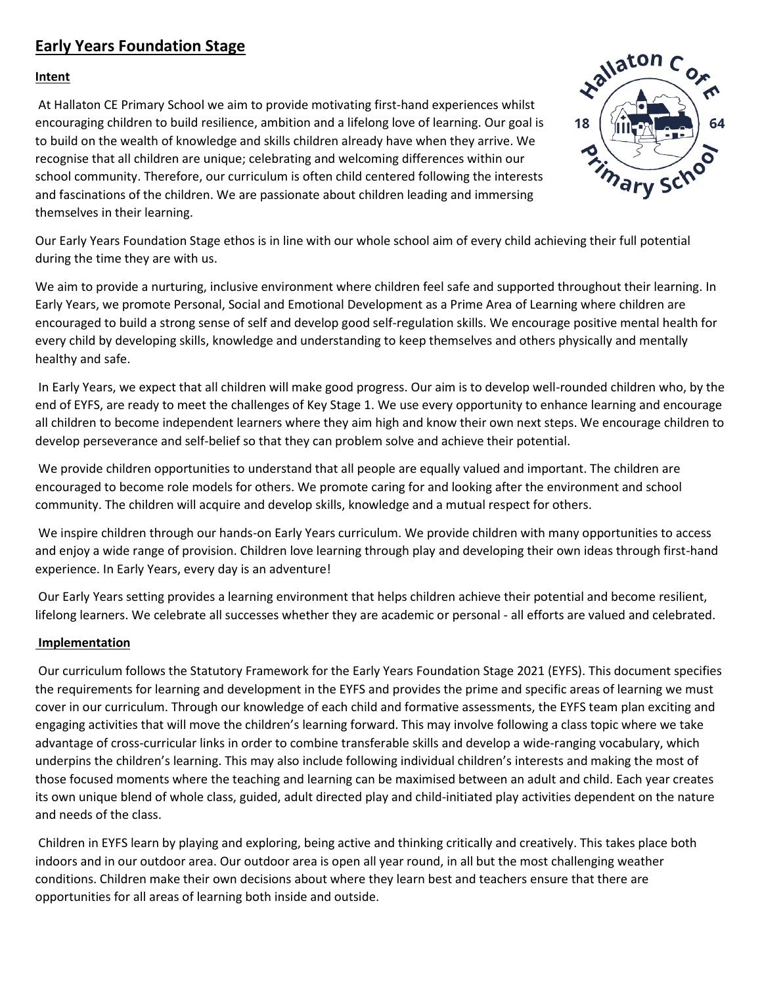## **Early Years Foundation Stage**

## **Intent**

At Hallaton CE Primary School we aim to provide motivating first-hand experiences whilst encouraging children to build resilience, ambition and a lifelong love of learning. Our goal is to build on the wealth of knowledge and skills children already have when they arrive. We recognise that all children are unique; celebrating and welcoming differences within our school community. Therefore, our curriculum is often child centered following the interests and fascinations of the children. We are passionate about children leading and immersing themselves in their learning.



Our Early Years Foundation Stage ethos is in line with our whole school aim of every child achieving their full potential during the time they are with us.

We aim to provide a nurturing, inclusive environment where children feel safe and supported throughout their learning. In Early Years, we promote Personal, Social and Emotional Development as a Prime Area of Learning where children are encouraged to build a strong sense of self and develop good self-regulation skills. We encourage positive mental health for every child by developing skills, knowledge and understanding to keep themselves and others physically and mentally healthy and safe.

In Early Years, we expect that all children will make good progress. Our aim is to develop well-rounded children who, by the end of EYFS, are ready to meet the challenges of Key Stage 1. We use every opportunity to enhance learning and encourage all children to become independent learners where they aim high and know their own next steps. We encourage children to develop perseverance and self-belief so that they can problem solve and achieve their potential.

We provide children opportunities to understand that all people are equally valued and important. The children are encouraged to become role models for others. We promote caring for and looking after the environment and school community. The children will acquire and develop skills, knowledge and a mutual respect for others.

We inspire children through our hands-on Early Years curriculum. We provide children with many opportunities to access and enjoy a wide range of provision. Children love learning through play and developing their own ideas through first-hand experience. In Early Years, every day is an adventure!

Our Early Years setting provides a learning environment that helps children achieve their potential and become resilient, lifelong learners. We celebrate all successes whether they are academic or personal - all efforts are valued and celebrated.

## **Implementation**

Our curriculum follows the Statutory Framework for the Early Years Foundation Stage 2021 (EYFS). This document specifies the requirements for learning and development in the EYFS and provides the prime and specific areas of learning we must cover in our curriculum. Through our knowledge of each child and formative assessments, the EYFS team plan exciting and engaging activities that will move the children's learning forward. This may involve following a class topic where we take advantage of cross-curricular links in order to combine transferable skills and develop a wide-ranging vocabulary, which underpins the children's learning. This may also include following individual children's interests and making the most of those focused moments where the teaching and learning can be maximised between an adult and child. Each year creates its own unique blend of whole class, guided, adult directed play and child-initiated play activities dependent on the nature and needs of the class.

Children in EYFS learn by playing and exploring, being active and thinking critically and creatively. This takes place both indoors and in our outdoor area. Our outdoor area is open all year round, in all but the most challenging weather conditions. Children make their own decisions about where they learn best and teachers ensure that there are opportunities for all areas of learning both inside and outside.